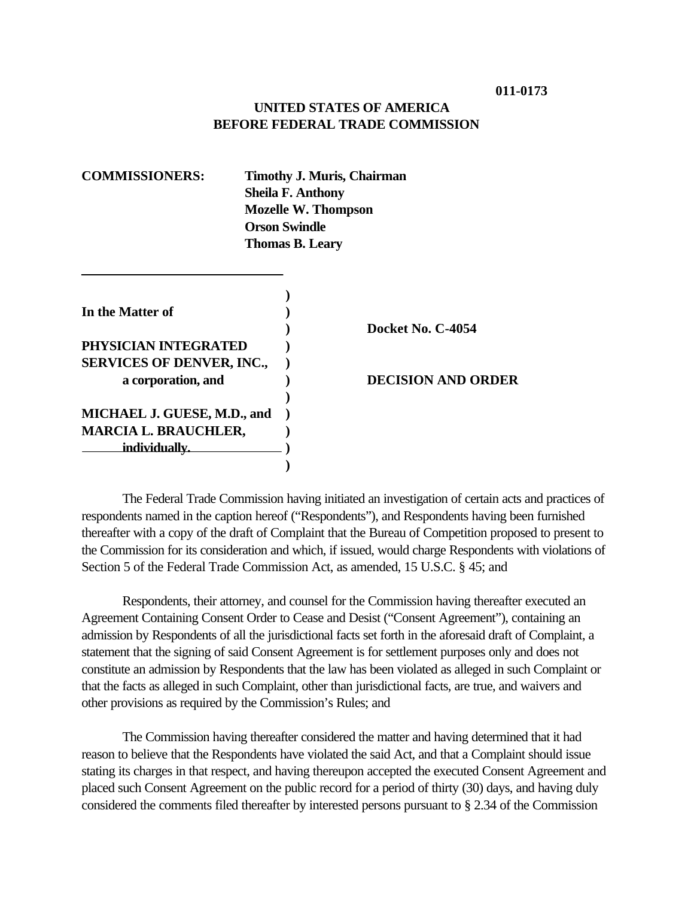## **UNITED STATES OF AMERICA BEFORE FEDERAL TRADE COMMISSION**

| <b>COMMISSIONERS:</b><br><b>Timothy J. Muris, Chairman</b><br><b>Sheila F. Anthony</b><br><b>Mozelle W. Thompson</b><br><b>Orson Swindle</b><br><b>Thomas B. Leary</b> |  |                           |
|------------------------------------------------------------------------------------------------------------------------------------------------------------------------|--|---------------------------|
| In the Matter of                                                                                                                                                       |  | Docket No. C-4054         |
| PHYSICIAN INTEGRATED                                                                                                                                                   |  |                           |
| <b>SERVICES OF DENVER, INC.,</b>                                                                                                                                       |  |                           |
| a corporation, and                                                                                                                                                     |  | <b>DECISION AND ORDER</b> |
| MICHAEL J. GUESE, M.D., and                                                                                                                                            |  |                           |
| <b>MARCIA L. BRAUCHLER,</b>                                                                                                                                            |  |                           |
| individually.                                                                                                                                                          |  |                           |
|                                                                                                                                                                        |  |                           |

The Federal Trade Commission having initiated an investigation of certain acts and practices of respondents named in the caption hereof ("Respondents"), and Respondents having been furnished thereafter with a copy of the draft of Complaint that the Bureau of Competition proposed to present to the Commission for its consideration and which, if issued, would charge Respondents with violations of Section 5 of the Federal Trade Commission Act, as amended, 15 U.S.C. § 45; and

Respondents, their attorney, and counsel for the Commission having thereafter executed an Agreement Containing Consent Order to Cease and Desist ("Consent Agreement"), containing an admission by Respondents of all the jurisdictional facts set forth in the aforesaid draft of Complaint, a statement that the signing of said Consent Agreement is for settlement purposes only and does not constitute an admission by Respondents that the law has been violated as alleged in such Complaint or that the facts as alleged in such Complaint, other than jurisdictional facts, are true, and waivers and other provisions as required by the Commission's Rules; and

The Commission having thereafter considered the matter and having determined that it had reason to believe that the Respondents have violated the said Act, and that a Complaint should issue stating its charges in that respect, and having thereupon accepted the executed Consent Agreement and placed such Consent Agreement on the public record for a period of thirty (30) days, and having duly considered the comments filed thereafter by interested persons pursuant to § 2.34 of the Commission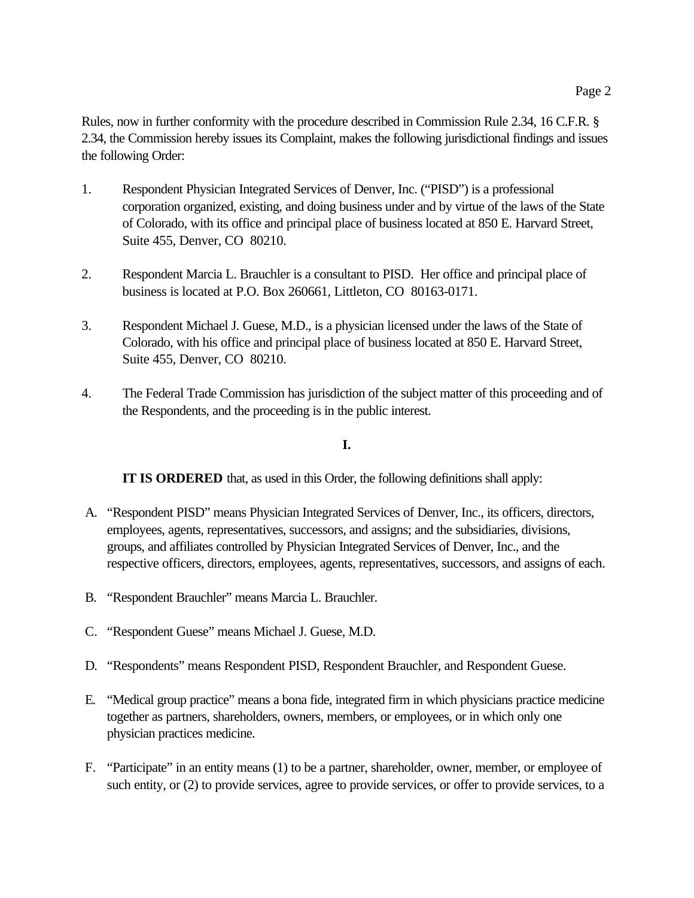Rules, now in further conformity with the procedure described in Commission Rule 2.34, 16 C.F.R. § 2.34, the Commission hereby issues its Complaint, makes the following jurisdictional findings and issues the following Order:

- 1. Respondent Physician Integrated Services of Denver, Inc. ("PISD") is a professional corporation organized, existing, and doing business under and by virtue of the laws of the State of Colorado, with its office and principal place of business located at 850 E. Harvard Street, Suite 455, Denver, CO 80210.
- 2. Respondent Marcia L. Brauchler is a consultant to PISD. Her office and principal place of business is located at P.O. Box 260661, Littleton, CO 80163-0171.
- 3. Respondent Michael J. Guese, M.D., is a physician licensed under the laws of the State of Colorado, with his office and principal place of business located at 850 E. Harvard Street, Suite 455, Denver, CO 80210.
- 4. The Federal Trade Commission has jurisdiction of the subject matter of this proceeding and of the Respondents, and the proceeding is in the public interest.

#### **I.**

**IT IS ORDERED** that, as used in this Order, the following definitions shall apply:

- A. "Respondent PISD" means Physician Integrated Services of Denver, Inc., its officers, directors, employees, agents, representatives, successors, and assigns; and the subsidiaries, divisions, groups, and affiliates controlled by Physician Integrated Services of Denver, Inc., and the respective officers, directors, employees, agents, representatives, successors, and assigns of each.
- B. "Respondent Brauchler" means Marcia L. Brauchler.
- C. "Respondent Guese" means Michael J. Guese, M.D.
- D. "Respondents" means Respondent PISD, Respondent Brauchler, and Respondent Guese.
- E. "Medical group practice" means a bona fide, integrated firm in which physicians practice medicine together as partners, shareholders, owners, members, or employees, or in which only one physician practices medicine.
- F. "Participate" in an entity means (1) to be a partner, shareholder, owner, member, or employee of such entity, or (2) to provide services, agree to provide services, or offer to provide services, to a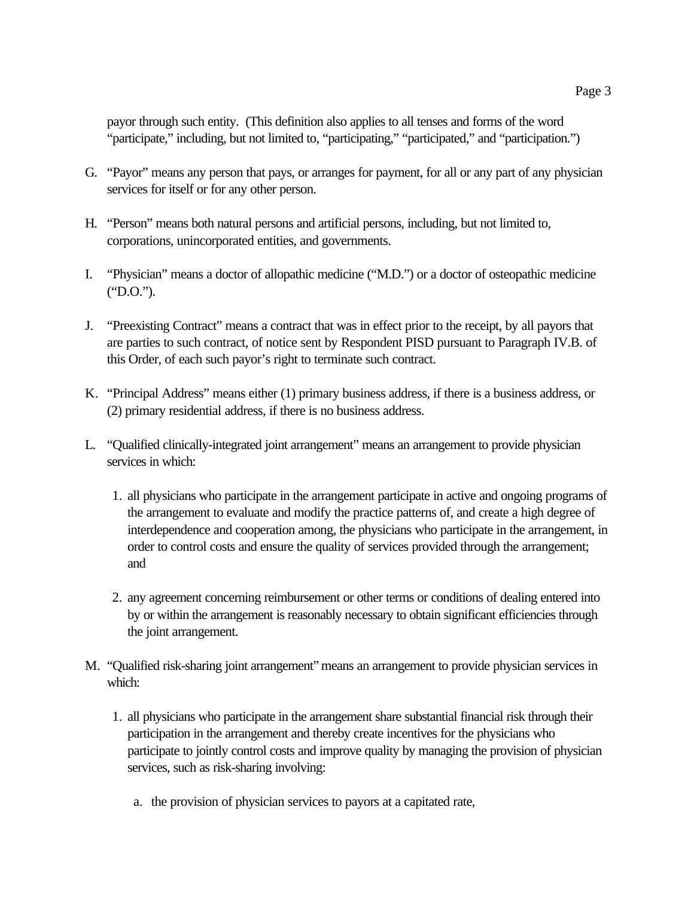payor through such entity. (This definition also applies to all tenses and forms of the word "participate," including, but not limited to, "participating," "participated," and "participation.")

- G. "Payor" means any person that pays, or arranges for payment, for all or any part of any physician services for itself or for any other person.
- H. "Person" means both natural persons and artificial persons, including, but not limited to, corporations, unincorporated entities, and governments.
- I. "Physician" means a doctor of allopathic medicine ("M.D.") or a doctor of osteopathic medicine ("D.O.").
- J. "Preexisting Contract" means a contract that was in effect prior to the receipt, by all payors that are parties to such contract, of notice sent by Respondent PISD pursuant to Paragraph IV.B. of this Order, of each such payor's right to terminate such contract.
- K. "Principal Address" means either (1) primary business address, if there is a business address, or (2) primary residential address, if there is no business address.
- L. "Qualified clinically-integrated joint arrangement" means an arrangement to provide physician services in which:
	- 1. all physicians who participate in the arrangement participate in active and ongoing programs of the arrangement to evaluate and modify the practice patterns of, and create a high degree of interdependence and cooperation among, the physicians who participate in the arrangement, in order to control costs and ensure the quality of services provided through the arrangement; and
	- 2. any agreement concerning reimbursement or other terms or conditions of dealing entered into by or within the arrangement is reasonably necessary to obtain significant efficiencies through the joint arrangement.
- M. "Qualified risk-sharing joint arrangement" means an arrangement to provide physician services in which:
	- 1. all physicians who participate in the arrangement share substantial financial risk through their participation in the arrangement and thereby create incentives for the physicians who participate to jointly control costs and improve quality by managing the provision of physician services, such as risk-sharing involving:
		- a. the provision of physician services to payors at a capitated rate,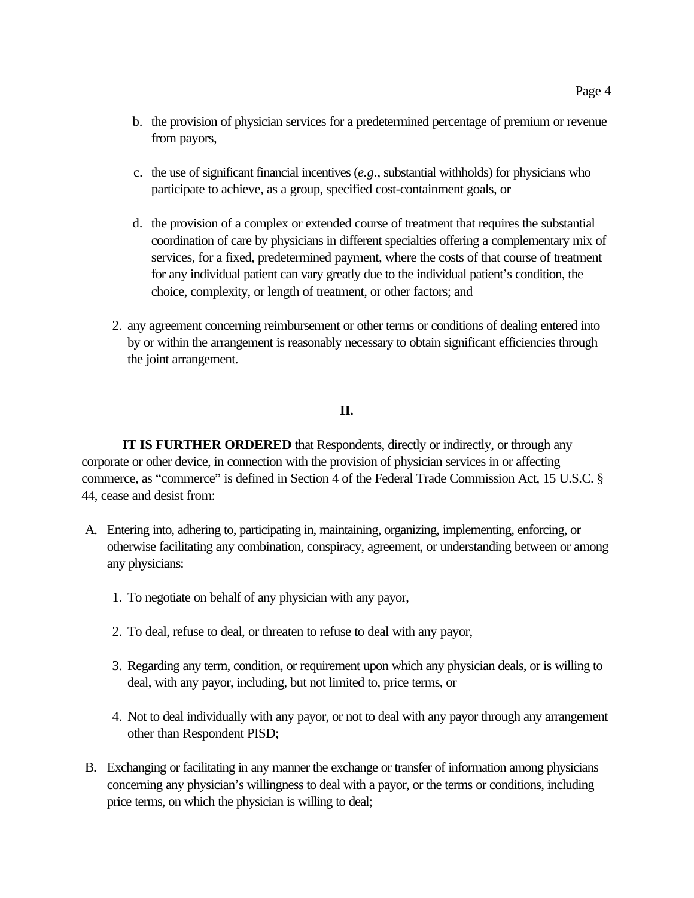- b. the provision of physician services for a predetermined percentage of premium or revenue from payors,
- c. the use of significant financial incentives (*e.g.*, substantial withholds) for physicians who participate to achieve, as a group, specified cost-containment goals, or
- d. the provision of a complex or extended course of treatment that requires the substantial coordination of care by physicians in different specialties offering a complementary mix of services, for a fixed, predetermined payment, where the costs of that course of treatment for any individual patient can vary greatly due to the individual patient's condition, the choice, complexity, or length of treatment, or other factors; and
- 2. any agreement concerning reimbursement or other terms or conditions of dealing entered into by or within the arrangement is reasonably necessary to obtain significant efficiencies through the joint arrangement.

#### **II.**

**IT IS FURTHER ORDERED** that Respondents, directly or indirectly, or through any corporate or other device, in connection with the provision of physician services in or affecting commerce, as "commerce" is defined in Section 4 of the Federal Trade Commission Act, 15 U.S.C. § 44, cease and desist from:

- A. Entering into, adhering to, participating in, maintaining, organizing, implementing, enforcing, or otherwise facilitating any combination, conspiracy, agreement, or understanding between or among any physicians:
	- 1. To negotiate on behalf of any physician with any payor,
	- 2. To deal, refuse to deal, or threaten to refuse to deal with any payor,
	- 3. Regarding any term, condition, or requirement upon which any physician deals, or is willing to deal, with any payor, including, but not limited to, price terms, or
	- 4. Not to deal individually with any payor, or not to deal with any payor through any arrangement other than Respondent PISD;
- B. Exchanging or facilitating in any manner the exchange or transfer of information among physicians concerning any physician's willingness to deal with a payor, or the terms or conditions, including price terms, on which the physician is willing to deal;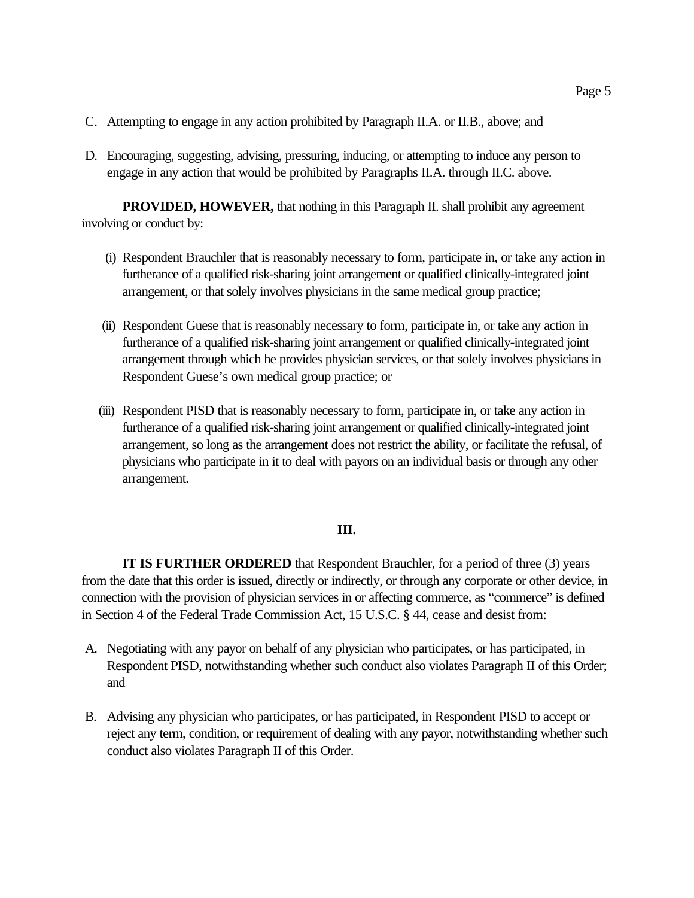- C. Attempting to engage in any action prohibited by Paragraph II.A. or II.B., above; and
- D. Encouraging, suggesting, advising, pressuring, inducing, or attempting to induce any person to engage in any action that would be prohibited by Paragraphs II.A. through II.C. above.

**PROVIDED, HOWEVER,** that nothing in this Paragraph II. shall prohibit any agreement involving or conduct by:

- (i) Respondent Brauchler that is reasonably necessary to form, participate in, or take any action in furtherance of a qualified risk-sharing joint arrangement or qualified clinically-integrated joint arrangement, or that solely involves physicians in the same medical group practice;
- (ii) Respondent Guese that is reasonably necessary to form, participate in, or take any action in furtherance of a qualified risk-sharing joint arrangement or qualified clinically-integrated joint arrangement through which he provides physician services, or that solely involves physicians in Respondent Guese's own medical group practice; or
- (iii) Respondent PISD that is reasonably necessary to form, participate in, or take any action in furtherance of a qualified risk-sharing joint arrangement or qualified clinically-integrated joint arrangement, so long as the arrangement does not restrict the ability, or facilitate the refusal, of physicians who participate in it to deal with payors on an individual basis or through any other arrangement.

## **III.**

**IT IS FURTHER ORDERED** that Respondent Brauchler, for a period of three (3) years from the date that this order is issued, directly or indirectly, or through any corporate or other device, in connection with the provision of physician services in or affecting commerce, as "commerce" is defined in Section 4 of the Federal Trade Commission Act, 15 U.S.C. § 44, cease and desist from:

- A. Negotiating with any payor on behalf of any physician who participates, or has participated, in Respondent PISD, notwithstanding whether such conduct also violates Paragraph II of this Order; and
- B. Advising any physician who participates, or has participated, in Respondent PISD to accept or reject any term, condition, or requirement of dealing with any payor, notwithstanding whether such conduct also violates Paragraph II of this Order.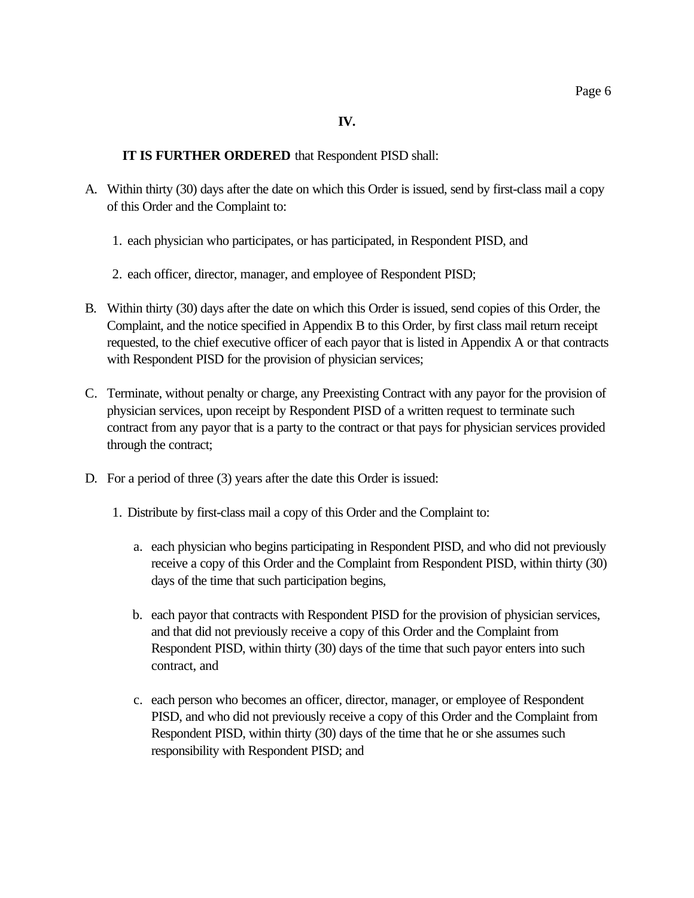## **IV.**

## **IT IS FURTHER ORDERED** that Respondent PISD shall:

- A. Within thirty (30) days after the date on which this Order is issued, send by first-class mail a copy of this Order and the Complaint to:
	- 1. each physician who participates, or has participated, in Respondent PISD, and
	- 2. each officer, director, manager, and employee of Respondent PISD;
- B. Within thirty (30) days after the date on which this Order is issued, send copies of this Order, the Complaint, and the notice specified in Appendix B to this Order, by first class mail return receipt requested, to the chief executive officer of each payor that is listed in Appendix A or that contracts with Respondent PISD for the provision of physician services;
- C. Terminate, without penalty or charge, any Preexisting Contract with any payor for the provision of physician services, upon receipt by Respondent PISD of a written request to terminate such contract from any payor that is a party to the contract or that pays for physician services provided through the contract;
- D. For a period of three (3) years after the date this Order is issued:
	- 1. Distribute by first-class mail a copy of this Order and the Complaint to:
		- a. each physician who begins participating in Respondent PISD, and who did not previously receive a copy of this Order and the Complaint from Respondent PISD, within thirty (30) days of the time that such participation begins,
		- b. each payor that contracts with Respondent PISD for the provision of physician services, and that did not previously receive a copy of this Order and the Complaint from Respondent PISD, within thirty (30) days of the time that such payor enters into such contract, and
		- c. each person who becomes an officer, director, manager, or employee of Respondent PISD, and who did not previously receive a copy of this Order and the Complaint from Respondent PISD, within thirty (30) days of the time that he or she assumes such responsibility with Respondent PISD; and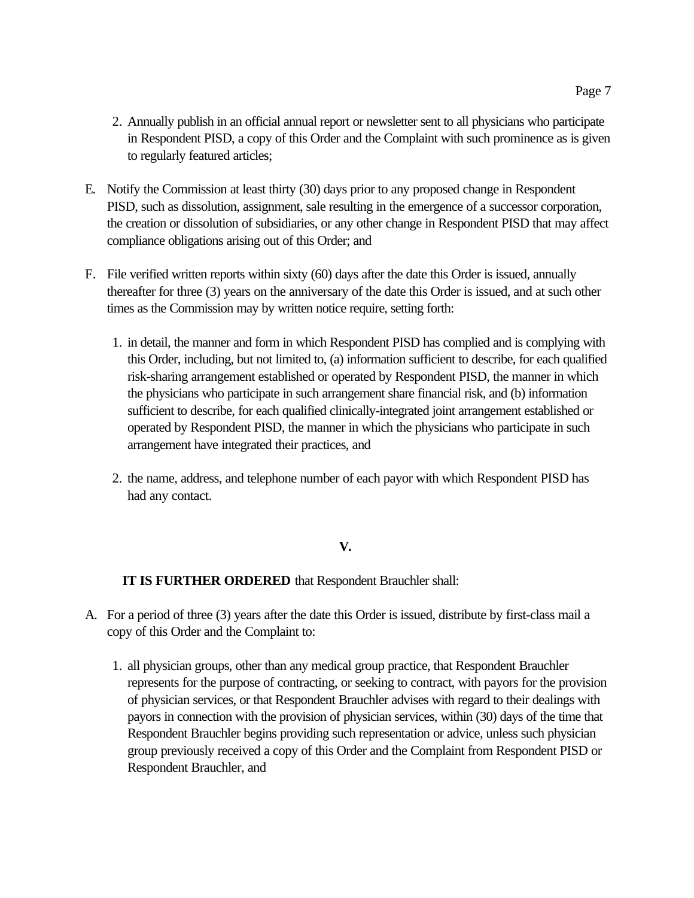- 2. Annually publish in an official annual report or newsletter sent to all physicians who participate in Respondent PISD, a copy of this Order and the Complaint with such prominence as is given to regularly featured articles;
- E. Notify the Commission at least thirty (30) days prior to any proposed change in Respondent PISD, such as dissolution, assignment, sale resulting in the emergence of a successor corporation, the creation or dissolution of subsidiaries, or any other change in Respondent PISD that may affect compliance obligations arising out of this Order; and
- F. File verified written reports within sixty (60) days after the date this Order is issued, annually thereafter for three (3) years on the anniversary of the date this Order is issued, and at such other times as the Commission may by written notice require, setting forth:
	- 1. in detail, the manner and form in which Respondent PISD has complied and is complying with this Order, including, but not limited to, (a) information sufficient to describe, for each qualified risk-sharing arrangement established or operated by Respondent PISD, the manner in which the physicians who participate in such arrangement share financial risk, and (b) information sufficient to describe, for each qualified clinically-integrated joint arrangement established or operated by Respondent PISD, the manner in which the physicians who participate in such arrangement have integrated their practices, and
	- 2. the name, address, and telephone number of each payor with which Respondent PISD has had any contact.

## **V.**

**IT IS FURTHER ORDERED** that Respondent Brauchler shall:

- A. For a period of three (3) years after the date this Order is issued, distribute by first-class mail a copy of this Order and the Complaint to:
	- 1. all physician groups, other than any medical group practice, that Respondent Brauchler represents for the purpose of contracting, or seeking to contract, with payors for the provision of physician services, or that Respondent Brauchler advises with regard to their dealings with payors in connection with the provision of physician services, within (30) days of the time that Respondent Brauchler begins providing such representation or advice, unless such physician group previously received a copy of this Order and the Complaint from Respondent PISD or Respondent Brauchler, and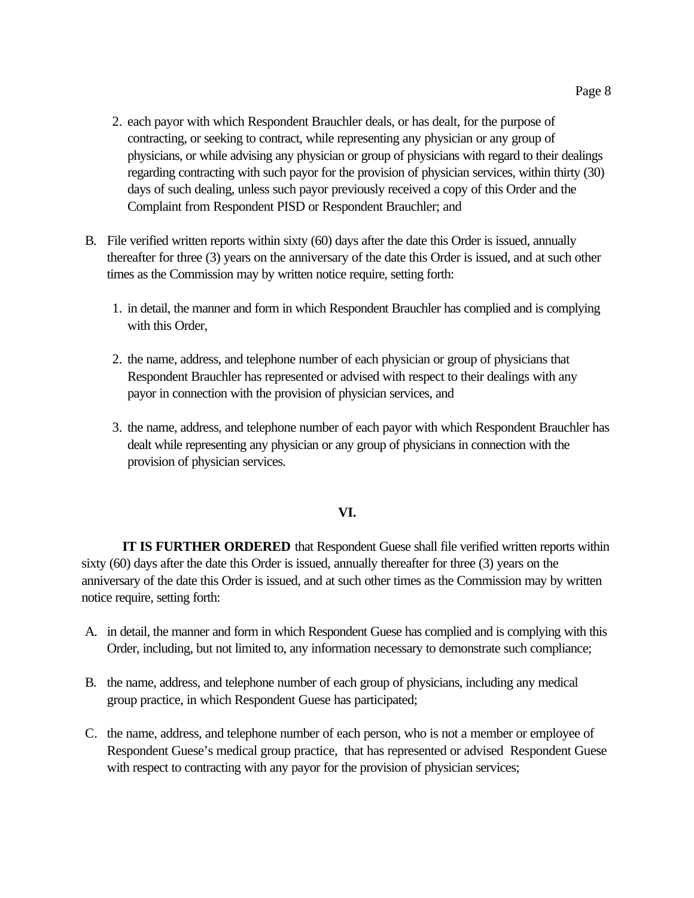- 2. each payor with which Respondent Brauchler deals, or has dealt, for the purpose of contracting, or seeking to contract, while representing any physician or any group of physicians, or while advising any physician or group of physicians with regard to their dealings regarding contracting with such payor for the provision of physician services, within thirty (30) days of such dealing, unless such payor previously received a copy of this Order and the Complaint from Respondent PISD or Respondent Brauchler; and
- B. File verified written reports within sixty (60) days after the date this Order is issued, annually thereafter for three (3) years on the anniversary of the date this Order is issued, and at such other times as the Commission may by written notice require, setting forth:
	- 1. in detail, the manner and form in which Respondent Brauchler has complied and is complying with this Order,
	- 2. the name, address, and telephone number of each physician or group of physicians that Respondent Brauchler has represented or advised with respect to their dealings with any payor in connection with the provision of physician services, and
	- 3. the name, address, and telephone number of each payor with which Respondent Brauchler has dealt while representing any physician or any group of physicians in connection with the provision of physician services.

#### **VI.**

**IT IS FURTHER ORDERED** that Respondent Guese shall file verified written reports within sixty (60) days after the date this Order is issued, annually thereafter for three (3) years on the anniversary of the date this Order is issued, and at such other times as the Commission may by written notice require, setting forth:

- A. in detail, the manner and form in which Respondent Guese has complied and is complying with this Order, including, but not limited to, any information necessary to demonstrate such compliance;
- B. the name, address, and telephone number of each group of physicians, including any medical group practice, in which Respondent Guese has participated;
- C. the name, address, and telephone number of each person, who is not a member or employee of Respondent Guese's medical group practice, that has represented or advised Respondent Guese with respect to contracting with any payor for the provision of physician services;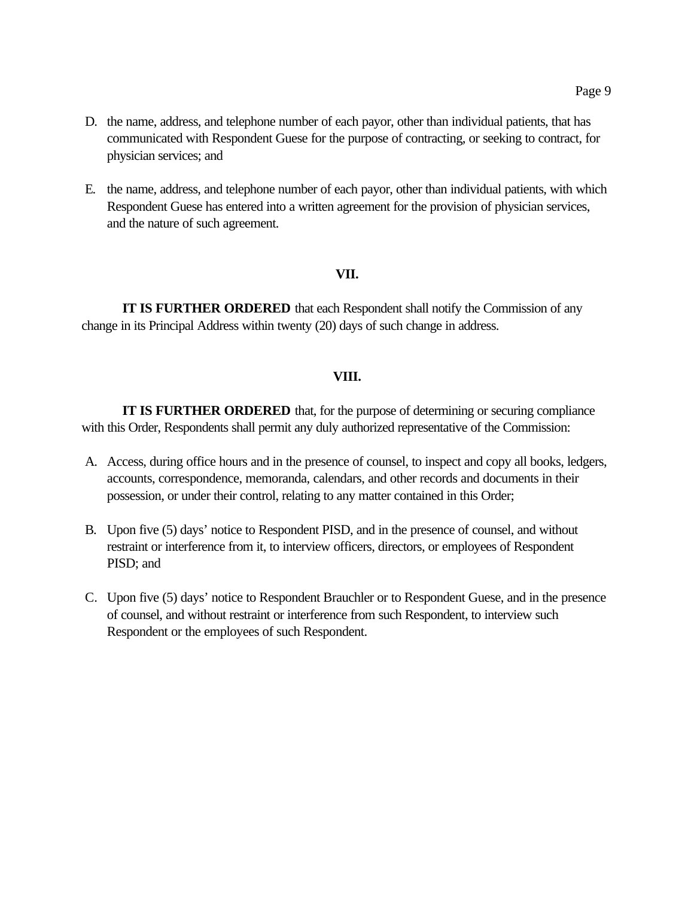- D. the name, address, and telephone number of each payor, other than individual patients, that has communicated with Respondent Guese for the purpose of contracting, or seeking to contract, for physician services; and
- E. the name, address, and telephone number of each payor, other than individual patients, with which Respondent Guese has entered into a written agreement for the provision of physician services, and the nature of such agreement.

#### **VII.**

**IT IS FURTHER ORDERED** that each Respondent shall notify the Commission of any change in its Principal Address within twenty (20) days of such change in address.

## **VIII.**

**IT IS FURTHER ORDERED** that, for the purpose of determining or securing compliance with this Order, Respondents shall permit any duly authorized representative of the Commission:

- A. Access, during office hours and in the presence of counsel, to inspect and copy all books, ledgers, accounts, correspondence, memoranda, calendars, and other records and documents in their possession, or under their control, relating to any matter contained in this Order;
- B. Upon five (5) days' notice to Respondent PISD, and in the presence of counsel, and without restraint or interference from it, to interview officers, directors, or employees of Respondent PISD; and
- C. Upon five (5) days' notice to Respondent Brauchler or to Respondent Guese, and in the presence of counsel, and without restraint or interference from such Respondent, to interview such Respondent or the employees of such Respondent.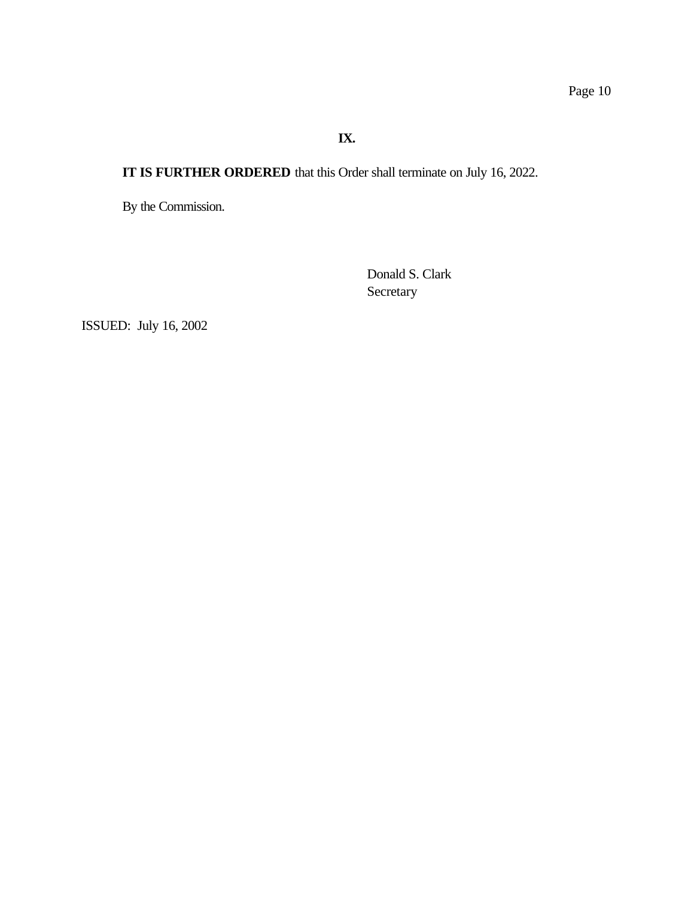**IX.**

**IT IS FURTHER ORDERED** that this Order shall terminate on July 16, 2022.

By the Commission.

Donald S. Clark Secretary

ISSUED: July 16, 2002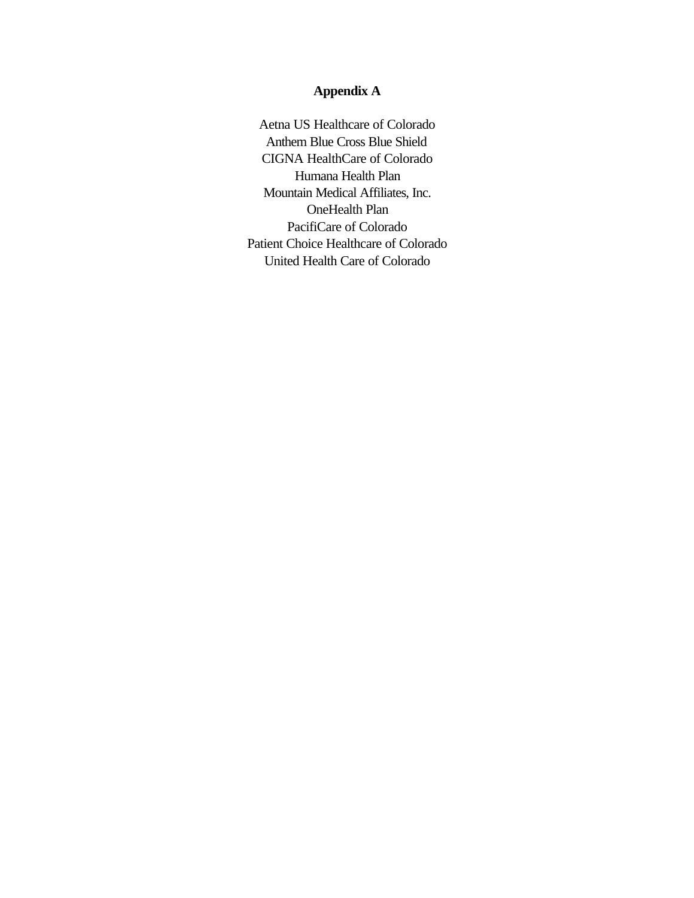# **Appendix A**

Aetna US Healthcare of Colorado Anthem Blue Cross Blue Shield CIGNA HealthCare of Colorado Humana Health Plan Mountain Medical Affiliates, Inc. OneHealth Plan PacifiCare of Colorado Patient Choice Healthcare of Colorado United Health Care of Colorado